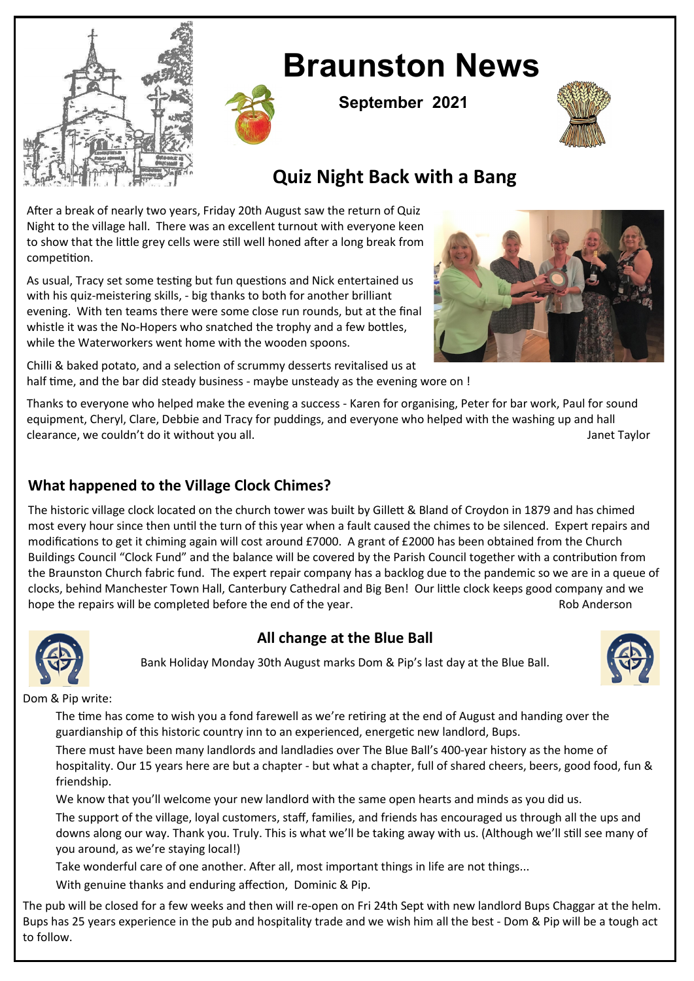

# **Braunston News**

**September 2021**



## **Quiz Night Back with a Bang**

After a break of nearly two years, Friday 20th August saw the return of Quiz Night to the village hall. There was an excellent turnout with everyone keen to show that the little grey cells were still well honed after a long break from competition.

As usual, Tracy set some testing but fun questions and Nick entertained us with his quiz-meistering skills, - big thanks to both for another brilliant evening. With ten teams there were some close run rounds, but at the final whistle it was the No-Hopers who snatched the trophy and a few bottles, while the Waterworkers went home with the wooden spoons.



Chilli & baked potato, and a selection of scrummy desserts revitalised us at half time, and the bar did steady business - maybe unsteady as the evening wore on !

Thanks to everyone who helped make the evening a success - Karen for organising, Peter for bar work, Paul for sound equipment, Cheryl, Clare, Debbie and Tracy for puddings, and everyone who helped with the washing up and hall clearance, we couldn't do it without you all. In the same series are all that the same series of the same series of the same series of the same series of the same series of the same series of the same series of the same se

#### **What happened to the Village Clock Chimes?**

The historic village clock located on the church tower was built by Gillett & Bland of Croydon in 1879 and has chimed most every hour since then until the turn of this year when a fault caused the chimes to be silenced. Expert repairs and modifications to get it chiming again will cost around £7000. A grant of £2000 has been obtained from the Church Buildings Council "Clock Fund" and the balance will be covered by the Parish Council together with a contribution from the Braunston Church fabric fund. The expert repair company has a backlog due to the pandemic so we are in a queue of clocks, behind Manchester Town Hall, Canterbury Cathedral and Big Ben! Our little clock keeps good company and we hope the repairs will be completed before the end of the year. The result of the state of the year.



#### **All change at the Blue Ball**

Bank Holiday Monday 30th August marks Dom & Pip's last day at the Blue Ball.



Dom & Pip write:

The time has come to wish you a fond farewell as we're retiring at the end of August and handing over the guardianship of this historic country inn to an experienced, energetic new landlord, Bups.

There must have been many landlords and landladies over The Blue Ball's 400-year history as the home of hospitality. Our 15 years here are but a chapter - but what a chapter, full of shared cheers, beers, good food, fun & friendship.

We know that you'll welcome your new landlord with the same open hearts and minds as you did us.

The support of the village, loyal customers, staff, families, and friends has encouraged us through all the ups and downs along our way. Thank you. Truly. This is what we'll be taking away with us. (Although we'll still see many of you around, as we're staying local!)

Take wonderful care of one another. After all, most important things in life are not things...

With genuine thanks and enduring affection, Dominic & Pip.

The pub will be closed for a few weeks and then will re-open on Fri 24th Sept with new landlord Bups Chaggar at the helm. Bups has 25 years experience in the pub and hospitality trade and we wish him all the best - Dom & Pip will be a tough act to follow.